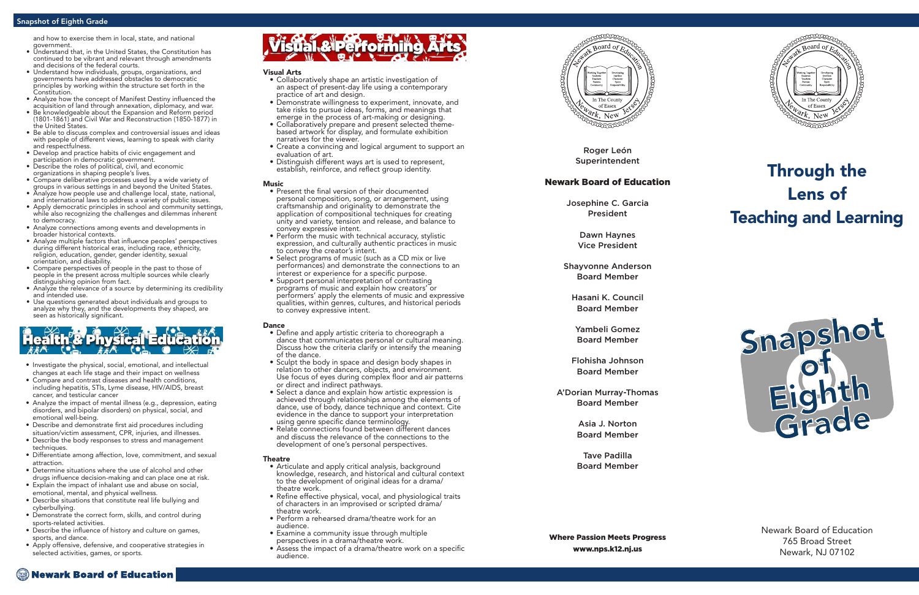Roger León Superintendent

### Newark Board of Education

Josephine C. Garcia President

> Dawn Haynes Vice President

Shayvonne Anderson Board Member

Hasani K. Council Board Member

Yambeli Gomez Board Member

Flohisha Johnson Board Member

A'Dorian Murray-Thomas Board Member

> Asia J. Norton Board Member

> Tave Padilla Board Member

Where Passion Meets Progress www.nps.k12.nj.us

### Newark Board of Education



## Through the Lens of Teaching and Learning

Newark Board of Education 765 Broad Street Newark, NJ 07102

- Visual Arts Collaboratively shape an artistic investigation of an aspect of present-day life using a contemporary practice of art and design.
- Demonstrate willingness to experiment, innovate, and take risks to pursue ideas, forms, and meanings that emerge in the process of art-making or designing.
- Collaboratively prepare and present selected themebased artwork for display, and formulate exhibition narratives for the viewer.
- Create a convincing and logical argument to support an evaluation of art.
- Distinguish different ways art is used to represent, establish, reinforce, and reflect group identity.

- Music<br>• Present the final version of their documented personal composition, song, or arrangement, using craftsmanship and originality to demonstrate the application of compositional techniques for creating unity and variety, tension and release, and balance to convey expressive intent.
- Perform the music with technical accuracy, stylistic expression, and culturally authentic practices in music to convey the creator's intent.
- Select programs of music (such as a CD mix or live performances) and demonstrate the connections to an interest or experience for a specific purpose.
- Support personal interpretation of contrasting programs of music and explain how creators' or performers' apply the elements of music and expressive qualities, within genres, cultures, and historical periods to convey expressive intent.

- **Dance**<br>• Define and apply artistic criteria to choreograph a dance that communicates personal or cultural meaning. Discuss how the criteria clarify or intensify the meaning of the dance.
- Sculpt the body in space and design body shapes in relation to other dancers, objects, and environment. Use focus of eyes during complex floor and air patterns or direct and indirect pathways.
- Select a dance and explain how artistic expression is achieved through relationships among the elements of dance, use of body, dance technique and context. Cite evidence in the dance to support your interpretation using genre specific dance terminology.
- Relate connections found between different dances and discuss the relevance of the connections to the development of one's personal perspectives.

- Theatre<br>• Articulate and apply critical analysis, background knowledge, research, and historical and cultural context to the development of original ideas for a drama/ theatre work.
- Refine effective physical, vocal, and physiological traits of characters in an improvised or scripted drama/ theatre work.
- Perform a rehearsed drama/theatre work for an audience.
- Examine a community issue through multiple perspectives in a drama/theatre work.
- Assess the impact of a drama/theatre work on a specific audience.



### Snapshot of Eighth Grade

- Investigate the physical, social, emotional, and intellectual changes at each life stage and their impact on wellness
- Compare and contrast diseases and health conditions, including hepatitis, STIs, Lyme disease, HIV/AIDS, breast cancer, and testicular cancer
- Analyze the impact of mental illness (e.g., depression, eating disorders, and bipolar disorders) on physical, social, and emotional well-being.
- Describe and demonstrate first aid procedures including situation/victim assessment, CPR, injuries, and illnesses.
- Describe the body responses to stress and management techniques.
- Differentiate among affection, love, commitment, and sexual attraction.
- Determine situations where the use of alcohol and other drugs influence decision-making and can place one at risk.
- Explain the impact of inhalant use and abuse on social, emotional, mental, and physical wellness.
- Describe situations that constitute real life bullying and cyberbullying.
- Demonstrate the correct form, skills, and control during sports-related activities.
- Describe the influence of history and culture on games, sports, and dance.
- Apply offensive, defensive, and cooperative strategies in selected activities, games, or sports.

# isual & Performing



and how to exercise them in local, state, and national government.

- Understand that, in the United States, the Constitution has continued to be vibrant and relevant through amendments and decisions of the federal courts.
- Understand how individuals, groups, organizations, and governments have addressed obstacles to democratic principles by working within the structure set forth in the Constitution.
- Analyze how the concept of Manifest Destiny influenced the acquisition of land through annexation, diplomacy, and war.
- Be knowledgeable about the Expansion and Reform period (1801-1861) and Civil War and Reconstruction (1850-1877) in the United States.
- Be able to discuss complex and controversial issues and ideas with people of different views, learning to speak with clarity and respectfulness.
- Develop and practice habits of civic engagement and participation in democratic government.
- Describe the roles of political, civil, and economic organizations in shaping people's lives.
- Compare deliberative processes used by a wide variety of
- groups in various settings in and beyond the United States. • Analyze how people use and challenge local, state, national,
- and international laws to address a variety of public issues.
- Apply democratic principles in school and community settings, while also recognizing the challenges and dilemmas inherent to democracy.
- Analyze connections among events and developments in broader historical contexts.
- Analyze multiple factors that influence peoples' perspectives during different historical eras, including race, ethnicity, religion, education, gender, gender identity, sexual orientation, and disability.
- Compare perspectives of people in the past to those of people in the present across multiple sources while clearly distinguishing opinion from fact.
- Analyze the relevance of a source by determining its credibility and intended use.
- Use questions generated about individuals and groups to analyze why they, and the developments they shaped, are seen as historically significant.